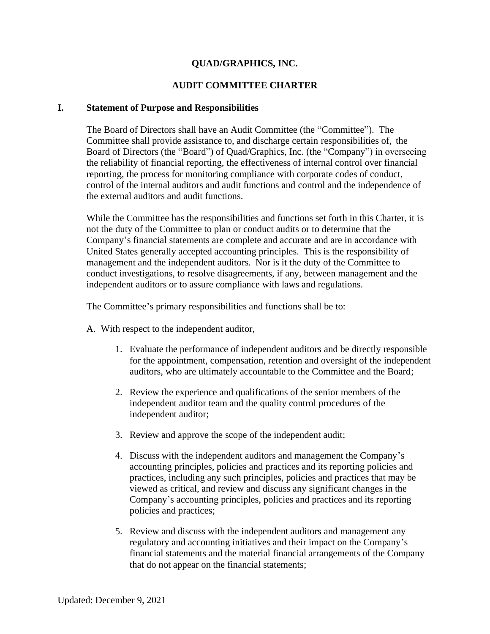# **QUAD/GRAPHICS, INC.**

### **AUDIT COMMITTEE CHARTER**

#### **I. Statement of Purpose and Responsibilities**

The Board of Directors shall have an Audit Committee (the "Committee"). The Committee shall provide assistance to, and discharge certain responsibilities of, the Board of Directors (the "Board") of Quad/Graphics, Inc. (the "Company") in overseeing the reliability of financial reporting, the effectiveness of internal control over financial reporting, the process for monitoring compliance with corporate codes of conduct, control of the internal auditors and audit functions and control and the independence of the external auditors and audit functions.

While the Committee has the responsibilities and functions set forth in this Charter, it is not the duty of the Committee to plan or conduct audits or to determine that the Company's financial statements are complete and accurate and are in accordance with United States generally accepted accounting principles. This is the responsibility of management and the independent auditors. Nor is it the duty of the Committee to conduct investigations, to resolve disagreements, if any, between management and the independent auditors or to assure compliance with laws and regulations.

The Committee's primary responsibilities and functions shall be to:

- A. With respect to the independent auditor,
	- 1. Evaluate the performance of independent auditors and be directly responsible for the appointment, compensation, retention and oversight of the independent auditors, who are ultimately accountable to the Committee and the Board;
	- 2. Review the experience and qualifications of the senior members of the independent auditor team and the quality control procedures of the independent auditor;
	- 3. Review and approve the scope of the independent audit;
	- 4. Discuss with the independent auditors and management the Company's accounting principles, policies and practices and its reporting policies and practices, including any such principles, policies and practices that may be viewed as critical, and review and discuss any significant changes in the Company's accounting principles, policies and practices and its reporting policies and practices;
	- 5. Review and discuss with the independent auditors and management any regulatory and accounting initiatives and their impact on the Company's financial statements and the material financial arrangements of the Company that do not appear on the financial statements;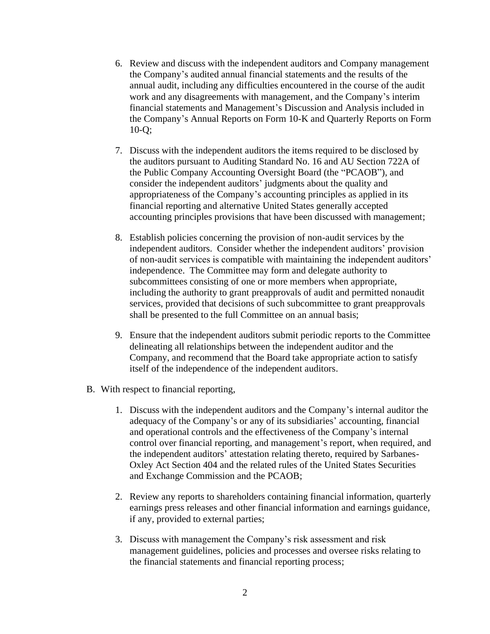- 6. Review and discuss with the independent auditors and Company management the Company's audited annual financial statements and the results of the annual audit, including any difficulties encountered in the course of the audit work and any disagreements with management, and the Company's interim financial statements and Management's Discussion and Analysis included in the Company's Annual Reports on Form 10-K and Quarterly Reports on Form 10-Q;
- 7. Discuss with the independent auditors the items required to be disclosed by the auditors pursuant to Auditing Standard No. 16 and AU Section 722A of the Public Company Accounting Oversight Board (the "PCAOB"), and consider the independent auditors' judgments about the quality and appropriateness of the Company's accounting principles as applied in its financial reporting and alternative United States generally accepted accounting principles provisions that have been discussed with management;
- 8. Establish policies concerning the provision of non-audit services by the independent auditors. Consider whether the independent auditors' provision of non-audit services is compatible with maintaining the independent auditors' independence. The Committee may form and delegate authority to subcommittees consisting of one or more members when appropriate, including the authority to grant preapprovals of audit and permitted nonaudit services, provided that decisions of such subcommittee to grant preapprovals shall be presented to the full Committee on an annual basis;
- 9. Ensure that the independent auditors submit periodic reports to the Committee delineating all relationships between the independent auditor and the Company, and recommend that the Board take appropriate action to satisfy itself of the independence of the independent auditors.
- B. With respect to financial reporting,
	- 1. Discuss with the independent auditors and the Company's internal auditor the adequacy of the Company's or any of its subsidiaries' accounting, financial and operational controls and the effectiveness of the Company's internal control over financial reporting, and management's report, when required, and the independent auditors' attestation relating thereto, required by Sarbanes-Oxley Act Section 404 and the related rules of the United States Securities and Exchange Commission and the PCAOB;
	- 2. Review any reports to shareholders containing financial information, quarterly earnings press releases and other financial information and earnings guidance, if any, provided to external parties;
	- 3. Discuss with management the Company's risk assessment and risk management guidelines, policies and processes and oversee risks relating to the financial statements and financial reporting process;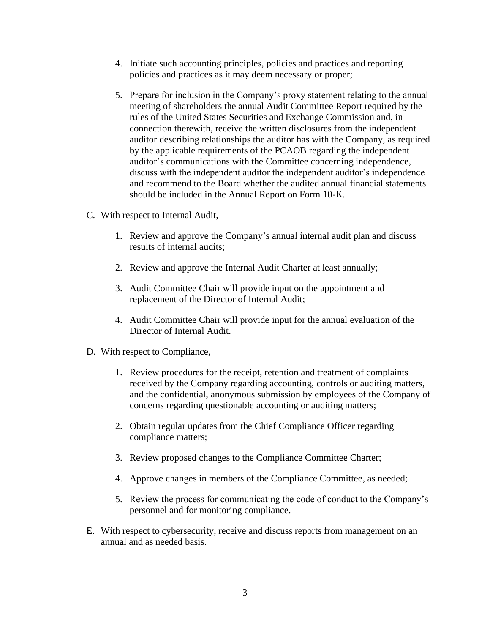- 4. Initiate such accounting principles, policies and practices and reporting policies and practices as it may deem necessary or proper;
- 5. Prepare for inclusion in the Company's proxy statement relating to the annual meeting of shareholders the annual Audit Committee Report required by the rules of the United States Securities and Exchange Commission and, in connection therewith, receive the written disclosures from the independent auditor describing relationships the auditor has with the Company, as required by the applicable requirements of the PCAOB regarding the independent auditor's communications with the Committee concerning independence, discuss with the independent auditor the independent auditor's independence and recommend to the Board whether the audited annual financial statements should be included in the Annual Report on Form 10-K.
- C. With respect to Internal Audit,
	- 1. Review and approve the Company's annual internal audit plan and discuss results of internal audits;
	- 2. Review and approve the Internal Audit Charter at least annually;
	- 3. Audit Committee Chair will provide input on the appointment and replacement of the Director of Internal Audit;
	- 4. Audit Committee Chair will provide input for the annual evaluation of the Director of Internal Audit.
- D. With respect to Compliance,
	- 1. Review procedures for the receipt, retention and treatment of complaints received by the Company regarding accounting, controls or auditing matters, and the confidential, anonymous submission by employees of the Company of concerns regarding questionable accounting or auditing matters;
	- 2. Obtain regular updates from the Chief Compliance Officer regarding compliance matters;
	- 3. Review proposed changes to the Compliance Committee Charter;
	- 4. Approve changes in members of the Compliance Committee, as needed;
	- 5. Review the process for communicating the code of conduct to the Company's personnel and for monitoring compliance.
- E. With respect to cybersecurity, receive and discuss reports from management on an annual and as needed basis.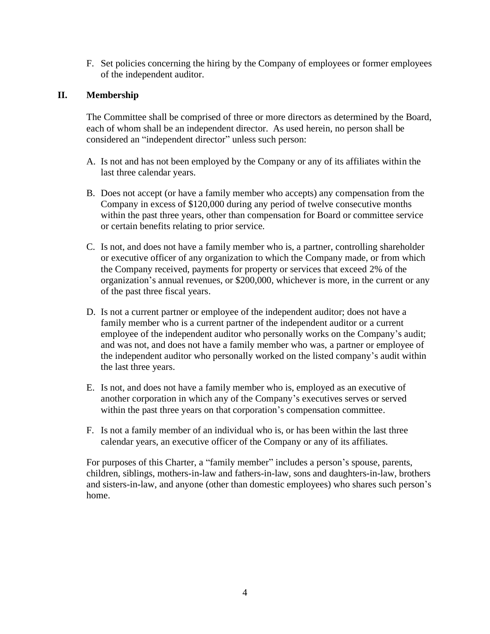F. Set policies concerning the hiring by the Company of employees or former employees of the independent auditor.

# **II. Membership**

The Committee shall be comprised of three or more directors as determined by the Board, each of whom shall be an independent director. As used herein, no person shall be considered an "independent director" unless such person:

- A. Is not and has not been employed by the Company or any of its affiliates within the last three calendar years.
- B. Does not accept (or have a family member who accepts) any compensation from the Company in excess of \$120,000 during any period of twelve consecutive months within the past three years, other than compensation for Board or committee service or certain benefits relating to prior service.
- C. Is not, and does not have a family member who is, a partner, controlling shareholder or executive officer of any organization to which the Company made, or from which the Company received, payments for property or services that exceed 2% of the organization's annual revenues, or \$200,000, whichever is more, in the current or any of the past three fiscal years.
- D. Is not a current partner or employee of the independent auditor; does not have a family member who is a current partner of the independent auditor or a current employee of the independent auditor who personally works on the Company's audit; and was not, and does not have a family member who was, a partner or employee of the independent auditor who personally worked on the listed company's audit within the last three years.
- E. Is not, and does not have a family member who is, employed as an executive of another corporation in which any of the Company's executives serves or served within the past three years on that corporation's compensation committee.
- F. Is not a family member of an individual who is, or has been within the last three calendar years, an executive officer of the Company or any of its affiliates.

For purposes of this Charter, a "family member" includes a person's spouse, parents, children, siblings, mothers-in-law and fathers-in-law, sons and daughters-in-law, brothers and sisters-in-law, and anyone (other than domestic employees) who shares such person's home.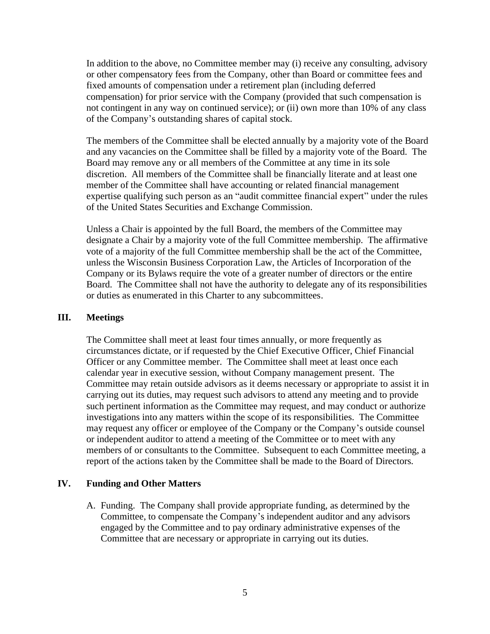In addition to the above, no Committee member may (i) receive any consulting, advisory or other compensatory fees from the Company, other than Board or committee fees and fixed amounts of compensation under a retirement plan (including deferred compensation) for prior service with the Company (provided that such compensation is not contingent in any way on continued service); or (ii) own more than 10% of any class of the Company's outstanding shares of capital stock.

The members of the Committee shall be elected annually by a majority vote of the Board and any vacancies on the Committee shall be filled by a majority vote of the Board. The Board may remove any or all members of the Committee at any time in its sole discretion. All members of the Committee shall be financially literate and at least one member of the Committee shall have accounting or related financial management expertise qualifying such person as an "audit committee financial expert" under the rules of the United States Securities and Exchange Commission.

Unless a Chair is appointed by the full Board, the members of the Committee may designate a Chair by a majority vote of the full Committee membership. The affirmative vote of a majority of the full Committee membership shall be the act of the Committee, unless the Wisconsin Business Corporation Law, the Articles of Incorporation of the Company or its Bylaws require the vote of a greater number of directors or the entire Board. The Committee shall not have the authority to delegate any of its responsibilities or duties as enumerated in this Charter to any subcommittees.

#### **III. Meetings**

The Committee shall meet at least four times annually, or more frequently as circumstances dictate, or if requested by the Chief Executive Officer, Chief Financial Officer or any Committee member. The Committee shall meet at least once each calendar year in executive session, without Company management present. The Committee may retain outside advisors as it deems necessary or appropriate to assist it in carrying out its duties, may request such advisors to attend any meeting and to provide such pertinent information as the Committee may request, and may conduct or authorize investigations into any matters within the scope of its responsibilities. The Committee may request any officer or employee of the Company or the Company's outside counsel or independent auditor to attend a meeting of the Committee or to meet with any members of or consultants to the Committee. Subsequent to each Committee meeting, a report of the actions taken by the Committee shall be made to the Board of Directors.

### **IV. Funding and Other Matters**

A. Funding. The Company shall provide appropriate funding, as determined by the Committee, to compensate the Company's independent auditor and any advisors engaged by the Committee and to pay ordinary administrative expenses of the Committee that are necessary or appropriate in carrying out its duties.